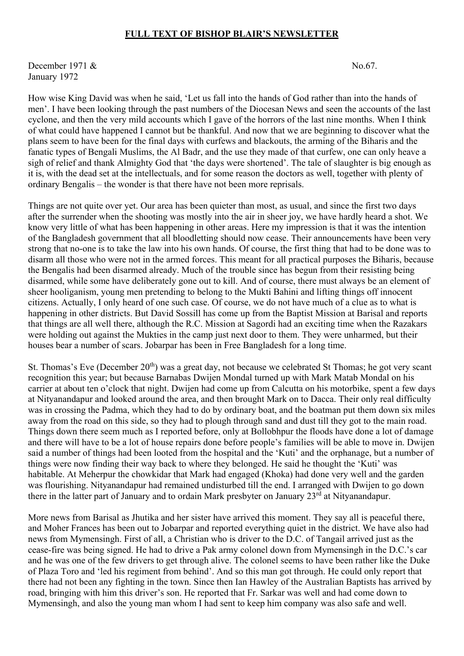## **FULL TEXT OF BISHOP BLAIR'S NEWSLETTER**

December 1971  $\&$  No.67. January 1972

How wise King David was when he said, 'Let us fall into the hands of God rather than into the hands of men'. I have been looking through the past numbers of the Diocesan News and seen the accounts of the last cyclone, and then the very mild accounts which I gave of the horrors of the last nine months. When I think of what could have happened I cannot but be thankful. And now that we are beginning to discover what the plans seem to have been for the final days with curfews and blackouts, the arming of the Biharis and the fanatic types of Bengali Muslims, the Al Badr, and the use they made of that curfew, one can only heave a sigh of relief and thank Almighty God that 'the days were shortened'. The tale of slaughter is big enough as it is, with the dead set at the intellectuals, and for some reason the doctors as well, together with plenty of ordinary Bengalis – the wonder is that there have not been more reprisals.

Things are not quite over yet. Our area has been quieter than most, as usual, and since the first two days after the surrender when the shooting was mostly into the air in sheer joy, we have hardly heard a shot. We know very little of what has been happening in other areas. Here my impression is that it was the intention of the Bangladesh government that all bloodletting should now cease. Their announcements have been very strong that no-one is to take the law into his own hands. Of course, the first thing that had to be done was to disarm all those who were not in the armed forces. This meant for all practical purposes the Biharis, because the Bengalis had been disarmed already. Much of the trouble since has begun from their resisting being disarmed, while some have deliberately gone out to kill. And of course, there must always be an element of sheer hooliganism, young men pretending to belong to the Mukti Bahini and lifting things off innocent citizens. Actually, I only heard of one such case. Of course, we do not have much of a clue as to what is happening in other districts. But David Sossill has come up from the Baptist Mission at Barisal and reports that things are all well there, although the R.C. Mission at Sagordi had an exciting time when the Razakars were holding out against the Mukties in the camp just next door to them. They were unharmed, but their houses bear a number of scars. Jobarpar has been in Free Bangladesh for a long time.

St. Thomas's Eve (December  $20<sup>th</sup>$ ) was a great day, not because we celebrated St Thomas; he got very scant recognition this year; but because Barnabas Dwijen Mondal turned up with Mark Matab Mondal on his carrier at about ten o'clock that night. Dwijen had come up from Calcutta on his motorbike, spent a few days at Nityanandapur and looked around the area, and then brought Mark on to Dacca. Their only real difficulty was in crossing the Padma, which they had to do by ordinary boat, and the boatman put them down six miles away from the road on this side, so they had to plough through sand and dust till they got to the main road. Things down there seem much as I reported before, only at Bollobhpur the floods have done a lot of damage and there will have to be a lot of house repairs done before people's families will be able to move in. Dwijen said a number of things had been looted from the hospital and the 'Kuti' and the orphanage, but a number of things were now finding their way back to where they belonged. He said he thought the 'Kuti' was habitable. At Meherpur the chowkidar that Mark had engaged (Khoka) had done very well and the garden was flourishing. Nityanandapur had remained undisturbed till the end. I arranged with Dwijen to go down there in the latter part of January and to ordain Mark presbyter on January 23<sup>rd</sup> at Nityanandapur.

More news from Barisal as Jhutika and her sister have arrived this moment. They say all is peaceful there, and Moher Frances has been out to Jobarpar and reported everything quiet in the district. We have also had news from Mymensingh. First of all, a Christian who is driver to the D.C. of Tangail arrived just as the cease-fire was being signed. He had to drive a Pak army colonel down from Mymensingh in the D.C.'s car and he was one of the few drivers to get through alive. The colonel seems to have been rather like the Duke of Plaza Toro and 'led his regiment from behind'. And so this man got through. He could only report that there had not been any fighting in the town. Since then Ian Hawley of the Australian Baptists has arrived by road, bringing with him this driver's son. He reported that Fr. Sarkar was well and had come down to Mymensingh, and also the young man whom I had sent to keep him company was also safe and well.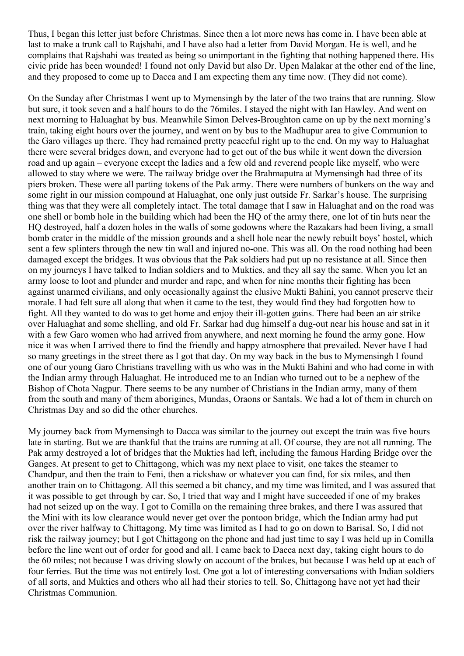Thus, I began this letter just before Christmas. Since then a lot more news has come in. I have been able at last to make a trunk call to Rajshahi, and I have also had a letter from David Morgan. He is well, and he complains that Rajshahi was treated as being so unimportant in the fighting that nothing happened there. His civic pride has been wounded! I found not only David but also Dr. Upen Malakar at the other end of the line, and they proposed to come up to Dacca and I am expecting them any time now. (They did not come).

On the Sunday after Christmas I went up to Mymensingh by the later of the two trains that are running. Slow but sure, it took seven and a half hours to do the 76miles. I stayed the night with Ian Hawley. And went on next morning to Haluaghat by bus. Meanwhile Simon Delves-Broughton came on up by the next morning's train, taking eight hours over the journey, and went on by bus to the Madhupur area to give Communion to the Garo villages up there. They had remained pretty peaceful right up to the end. On my way to Haluaghat there were several bridges down, and everyone had to get out of the bus while it went down the diversion road and up again – everyone except the ladies and a few old and reverend people like myself, who were allowed to stay where we were. The railway bridge over the Brahmaputra at Mymensingh had three of its piers broken. These were all parting tokens of the Pak army. There were numbers of bunkers on the way and some right in our mission compound at Haluaghat, one only just outside Fr. Sarkar's house. The surprising thing was that they were all completely intact. The total damage that I saw in Haluaghat and on the road was one shell or bomb hole in the building which had been the HQ of the army there, one lot of tin huts near the HQ destroyed, half a dozen holes in the walls of some godowns where the Razakars had been living, a small bomb crater in the middle of the mission grounds and a shell hole near the newly rebuilt boys' hostel, which sent a few splinters through the new tin wall and injured no-one. This was all. On the road nothing had been damaged except the bridges. It was obvious that the Pak soldiers had put up no resistance at all. Since then on my journeys I have talked to Indian soldiers and to Mukties, and they all say the same. When you let an army loose to loot and plunder and murder and rape, and when for nine months their fighting has been against unarmed civilians, and only occasionally against the elusive Mukti Bahini, you cannot preserve their morale. I had felt sure all along that when it came to the test, they would find they had forgotten how to fight. All they wanted to do was to get home and enjoy their ill-gotten gains. There had been an air strike over Haluaghat and some shelling, and old Fr. Sarkar had dug himself a dug-out near his house and sat in it with a few Garo women who had arrived from anywhere, and next morning he found the army gone. How nice it was when I arrived there to find the friendly and happy atmosphere that prevailed. Never have I had so many greetings in the street there as I got that day. On my way back in the bus to Mymensingh I found one of our young Garo Christians travelling with us who was in the Mukti Bahini and who had come in with the Indian army through Haluaghat. He introduced me to an Indian who turned out to be a nephew of the Bishop of Chota Nagpur. There seems to be any number of Christians in the Indian army, many of them from the south and many of them aborigines, Mundas, Oraons or Santals. We had a lot of them in church on Christmas Day and so did the other churches.

My journey back from Mymensingh to Dacca was similar to the journey out except the train was five hours late in starting. But we are thankful that the trains are running at all. Of course, they are not all running. The Pak army destroyed a lot of bridges that the Mukties had left, including the famous Harding Bridge over the Ganges. At present to get to Chittagong, which was my next place to visit, one takes the steamer to Chandpur, and then the train to Feni, then a rickshaw or whatever you can find, for six miles, and then another train on to Chittagong. All this seemed a bit chancy, and my time was limited, and I was assured that it was possible to get through by car. So, I tried that way and I might have succeeded if one of my brakes had not seized up on the way. I got to Comilla on the remaining three brakes, and there I was assured that the Mini with its low clearance would never get over the pontoon bridge, which the Indian army had put over the river halfway to Chittagong. My time was limited as I had to go on down to Barisal. So, I did not risk the railway journey; but I got Chittagong on the phone and had just time to say I was held up in Comilla before the line went out of order for good and all. I came back to Dacca next day, taking eight hours to do the 60 miles; not because I was driving slowly on account of the brakes, but because I was held up at each of four ferries. But the time was not entirely lost. One got a lot of interesting conversations with Indian soldiers of all sorts, and Mukties and others who all had their stories to tell. So, Chittagong have not yet had their Christmas Communion.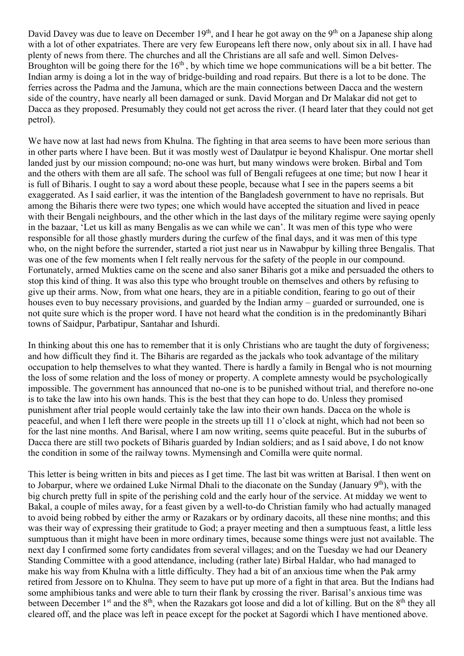David Davey was due to leave on December 19<sup>th</sup>, and I hear he got away on the 9<sup>th</sup> on a Japanese ship along with a lot of other expatriates. There are very few Europeans left there now, only about six in all. I have had plenty of news from there. The churches and all the Christians are all safe and well. Simon Delves-Broughton will be going there for the  $16<sup>th</sup>$ , by which time we hope communications will be a bit better. The Indian army is doing a lot in the way of bridge-building and road repairs. But there is a lot to be done. The ferries across the Padma and the Jamuna, which are the main connections between Dacca and the western side of the country, have nearly all been damaged or sunk. David Morgan and Dr Malakar did not get to Dacca as they proposed. Presumably they could not get across the river. (I heard later that they could not get petrol).

We have now at last had news from Khulna. The fighting in that area seems to have been more serious than in other parts where I have been. But it was mostly west of Daulatpur ie beyond Khalispur. One mortar shell landed just by our mission compound; no-one was hurt, but many windows were broken. Birbal and Tom and the others with them are all safe. The school was full of Bengali refugees at one time; but now I hear it is full of Biharis. I ought to say a word about these people, because what I see in the papers seems a bit exaggerated. As I said earlier, it was the intention of the Bangladesh government to have no reprisals. But among the Biharis there were two types; one which would have accepted the situation and lived in peace with their Bengali neighbours, and the other which in the last days of the military regime were saying openly in the bazaar, 'Let us kill as many Bengalis as we can while we can'. It was men of this type who were responsible for all those ghastly murders during the curfew of the final days, and it was men of this type who, on the night before the surrender, started a riot just near us in Nawabpur by killing three Bengalis. That was one of the few moments when I felt really nervous for the safety of the people in our compound. Fortunately, armed Mukties came on the scene and also saner Biharis got a mike and persuaded the others to stop this kind of thing. It was also this type who brought trouble on themselves and others by refusing to give up their arms. Now, from what one hears, they are in a pitiable condition, fearing to go out of their houses even to buy necessary provisions, and guarded by the Indian army – guarded or surrounded, one is not quite sure which is the proper word. I have not heard what the condition is in the predominantly Bihari towns of Saidpur, Parbatipur, Santahar and Ishurdi.

In thinking about this one has to remember that it is only Christians who are taught the duty of forgiveness; and how difficult they find it. The Biharis are regarded as the jackals who took advantage of the military occupation to help themselves to what they wanted. There is hardly a family in Bengal who is not mourning the loss of some relation and the loss of money or property. A complete amnesty would be psychologically impossible. The government has announced that no-one is to be punished without trial, and therefore no-one is to take the law into his own hands. This is the best that they can hope to do. Unless they promised punishment after trial people would certainly take the law into their own hands. Dacca on the whole is peaceful, and when I left there were people in the streets up till 11 o'clock at night, which had not been so for the last nine months. And Barisal, where I am now writing, seems quite peaceful. But in the suburbs of Dacca there are still two pockets of Biharis guarded by Indian soldiers; and as I said above, I do not know the condition in some of the railway towns. Mymensingh and Comilla were quite normal.

This letter is being written in bits and pieces as I get time. The last bit was written at Barisal. I then went on to Jobarpur, where we ordained Luke Nirmal Dhali to the diaconate on the Sunday (January 9<sup>th</sup>), with the big church pretty full in spite of the perishing cold and the early hour of the service. At midday we went to Bakal, a couple of miles away, for a feast given by a well-to-do Christian family who had actually managed to avoid being robbed by either the army or Razakars or by ordinary dacoits, all these nine months; and this was their way of expressing their gratitude to God; a prayer meeting and then a sumptuous feast, a little less sumptuous than it might have been in more ordinary times, because some things were just not available. The next day I confirmed some forty candidates from several villages; and on the Tuesday we had our Deanery Standing Committee with a good attendance, including (rather late) Birbal Haldar, who had managed to make his way from Khulna with a little difficulty. They had a bit of an anxious time when the Pak army retired from Jessore on to Khulna. They seem to have put up more of a fight in that area. But the Indians had some amphibious tanks and were able to turn their flank by crossing the river. Barisal's anxious time was between December 1<sup>st</sup> and the 8<sup>th</sup>, when the Razakars got loose and did a lot of killing. But on the 8<sup>th</sup> they all cleared off, and the place was left in peace except for the pocket at Sagordi which I have mentioned above.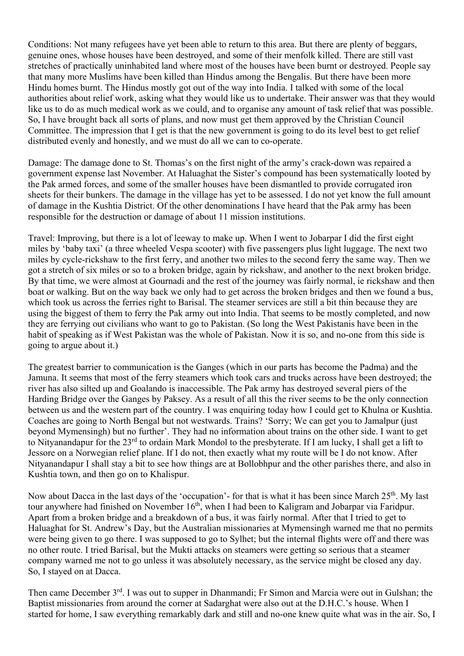Conditions: Not many refugees have yet been able to return to this area. But there are plenty of beggars, genuine ones, whose houses have been destroyed, and some of their menfolk killed. There are still vast stretches of practically uninhabited land where most of the houses have been burnt or destroyed. People say that many more Muslims have been killed than Hindus among the Bengalis. But there have been more Hindu homes burnt. The Hindus mostly got out of the way into India. I talked with some of the local authorities about relief work, asking what they would like us to undertake. Their answer was that they would like us to do as much medical work as we could, and to organise any amount of task relief that was possible. So, I have brought back all sorts of plans, and now must get them approved by the Christian Council Committee. The impression that I get is that the new government is going to do its level best to get relief distributed evenly and honestly, and we must do all we can to co-operate.

Damage: The damage done to St. Thomas's on the first night of the army's crack-down was repaired a government expense last November. At Haluaghat the Sister's compound has been systematically looted by the Pak armed forces, and some of the smaller houses have been dismantled to provide corrugated iron sheets for their bunkers. The damage in the village has yet to be assessed. I do not yet know the full amount of damage in the Kushtia District. Of the other denominations I have heard that the Pak army has been responsible for the destruction or damage of about 11 mission institutions.

Travel: Improving, but there is a lot of leeway to make up. When I went to Jobarpar I did the first eight miles by 'baby taxi' (a three wheeled Vespa scooter) with five passengers plus light luggage. The next two miles by cycle-rickshaw to the first ferry, and another two miles to the second ferry the same way. Then we got a stretch of six miles or so to a broken bridge, again by rickshaw, and another to the next broken bridge. By that time, we were almost at Gournadi and the rest of the journey was fairly normal, ie rickshaw and then boat or walking. But on the way back we only had to get across the broken bridges and then we found a bus, which took us across the ferries right to Barisal. The steamer services are still a bit thin because they are using the biggest of them to ferry the Pak army out into India. That seems to be mostly completed, and now they are ferrying out civilians who want to go to Pakistan. (So long the West Pakistanis have been in the habit of speaking as if West Pakistan was the whole of Pakistan. Now it is so, and no-one from this side is going to argue about it.)

The greatest barrier to communication is the Ganges (which in our parts has become the Padma) and the Jamuna. It seems that most of the ferry steamers which took cars and trucks across have been destroyed; the river has also silted up and Goalando is inaccessible. The Pak army has destroyed several piers of the Harding Bridge over the Ganges by Paksey. As a result of all this the river seems to be the only connection between us and the western part of the country. I was enquiring today how I could get to Khulna or Kushtia. Coaches are going to North Bengal but not westwards. Trains? 'Sorry; We can get you to Jamalpur (just beyond Mymensingh) but no further'. They had no information about trains on the other side. I want to get to Nityanandapur for the 23<sup>rd</sup> to ordain Mark Mondol to the presbyterate. If I am lucky, I shall get a lift to Jessore on a Norwegian relief plane. If I do not, then exactly what my route will be I do not know. After Nityanandapur I shall stay a bit to see how things are at Bollobhpur and the other parishes there, and also in Kushtia town, and then go on to Khalispur.

Now about Dacca in the last days of the 'occupation'- for that is what it has been since March 25<sup>th</sup>. My last tour anywhere had finished on November  $16<sup>th</sup>$ , when I had been to Kaligram and Jobarpar via Faridpur. Apart from a broken bridge and a breakdown of a bus, it was fairly normal. After that I tried to get to Haluaghat for St. Andrew's Day, but the Australian missionaries at Mymensingh warned me that no permits were being given to go there. I was supposed to go to Sylhet; but the internal flights were off and there was no other route. I tried Barisal, but the Mukti attacks on steamers were getting so serious that a steamer company warned me not to go unless it was absolutely necessary, as the service might be closed any day. So, I stayed on at Dacca.

Then came December 3<sup>rd</sup>. I was out to supper in Dhanmandi; Fr Simon and Marcia were out in Gulshan; the Baptist missionaries from around the corner at Sadarghat were also out at the D.H.C.'s house. When I started for home, I saw everything remarkably dark and still and no-one knew quite what was in the air. So, I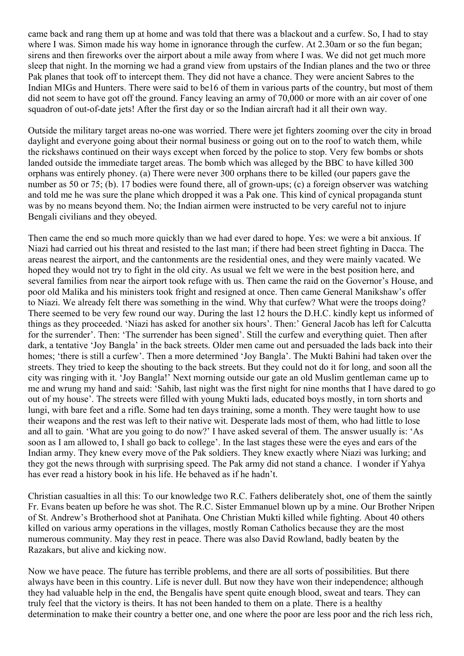came back and rang them up at home and was told that there was a blackout and a curfew. So, I had to stay where I was. Simon made his way home in ignorance through the curfew. At 2.30am or so the fun began; sirens and then fireworks over the airport about a mile away from where I was. We did not get much more sleep that night. In the morning we had a grand view from upstairs of the Indian planes and the two or three Pak planes that took off to intercept them. They did not have a chance. They were ancient Sabres to the Indian MIGs and Hunters. There were said to be16 of them in various parts of the country, but most of them did not seem to have got off the ground. Fancy leaving an army of 70,000 or more with an air cover of one squadron of out-of-date jets! After the first day or so the Indian aircraft had it all their own way.

Outside the military target areas no-one was worried. There were jet fighters zooming over the city in broad daylight and everyone going about their normal business or going out on to the roof to watch them, while the rickshaws continued on their ways except when forced by the police to stop. Very few bombs or shots landed outside the immediate target areas. The bomb which was alleged by the BBC to have killed 300 orphans was entirely phoney. (a) There were never 300 orphans there to be killed (our papers gave the number as 50 or 75; (b). 17 bodies were found there, all of grown-ups; (c) a foreign observer was watching and told me he was sure the plane which dropped it was a Pak one. This kind of cynical propaganda stunt was by no means beyond them. No; the Indian airmen were instructed to be very careful not to injure Bengali civilians and they obeyed.

Then came the end so much more quickly than we had ever dared to hope. Yes: we were a bit anxious. If Niazi had carried out his threat and resisted to the last man; if there had been street fighting in Dacca. The areas nearest the airport, and the cantonments are the residential ones, and they were mainly vacated. We hoped they would not try to fight in the old city. As usual we felt we were in the best position here, and several families from near the airport took refuge with us. Then came the raid on the Governor's House, and poor old Malika and his ministers took fright and resigned at once. Then came General Manikshaw's offer to Niazi. We already felt there was something in the wind. Why that curfew? What were the troops doing? There seemed to be very few round our way. During the last 12 hours the D.H.C. kindly kept us informed of things as they proceeded. 'Niazi has asked for another six hours'. Then:' General Jacob has left for Calcutta for the surrender'. Then: 'The surrender has been signed'. Still the curfew and everything quiet. Then after dark, a tentative 'Joy Bangla' in the back streets. Older men came out and persuaded the lads back into their homes; 'there is still a curfew'. Then a more determined 'Joy Bangla'. The Mukti Bahini had taken over the streets. They tried to keep the shouting to the back streets. But they could not do it for long, and soon all the city was ringing with it. 'Joy Bangla!' Next morning outside our gate an old Muslim gentleman came up to me and wrung my hand and said: 'Sahib, last night was the first night for nine months that I have dared to go out of my house'. The streets were filled with young Mukti lads, educated boys mostly, in torn shorts and lungi, with bare feet and a rifle. Some had ten days training, some a month. They were taught how to use their weapons and the rest was left to their native wit. Desperate lads most of them, who had little to lose and all to gain. 'What are you going to do now?' I have asked several of them. The answer usually is: 'As soon as I am allowed to, I shall go back to college'. In the last stages these were the eyes and ears of the Indian army. They knew every move of the Pak soldiers. They knew exactly where Niazi was lurking; and they got the news through with surprising speed. The Pak army did not stand a chance. I wonder if Yahya has ever read a history book in his life. He behaved as if he hadn't.

Christian casualties in all this: To our knowledge two R.C. Fathers deliberately shot, one of them the saintly Fr. Evans beaten up before he was shot. The R.C. Sister Emmanuel blown up by a mine. Our Brother Nripen of St. Andrew's Brotherhood shot at Panihata. One Christian Mukti killed while fighting. About 40 others killed on various army operations in the villages, mostly Roman Catholics because they are the most numerous community. May they rest in peace. There was also David Rowland, badly beaten by the Razakars, but alive and kicking now.

Now we have peace. The future has terrible problems, and there are all sorts of possibilities. But there always have been in this country. Life is never dull. But now they have won their independence; although they had valuable help in the end, the Bengalis have spent quite enough blood, sweat and tears. They can truly feel that the victory is theirs. It has not been handed to them on a plate. There is a healthy determination to make their country a better one, and one where the poor are less poor and the rich less rich,